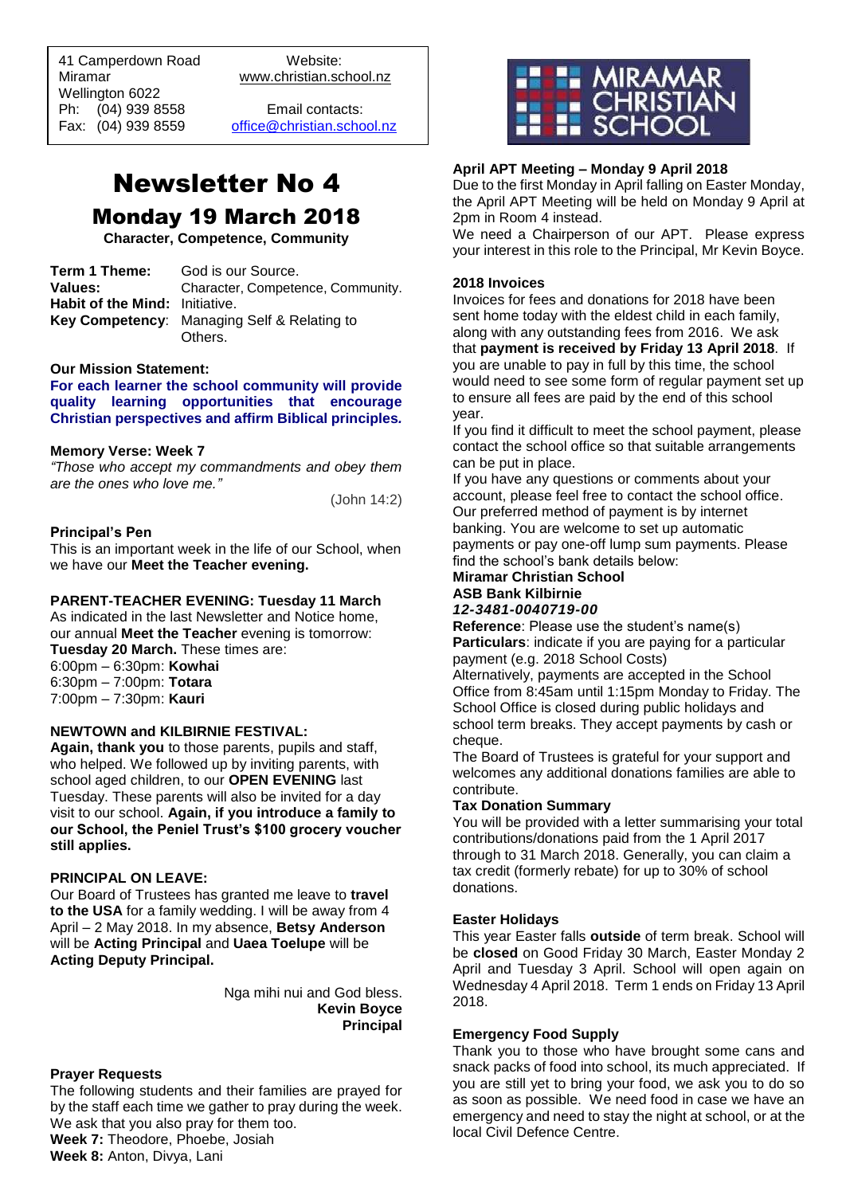41 Camperdown Road Website:<br>Miramar Www.christian.sc Wellington 6022 Ph: (04) 939 8558 Email contacts:

 $\overline{a}$ 

www.christian.school.nz

Fax: (04) 939 8559 [office@christian.school.nz](mailto:office@christian.school.nz)

# Newsletter No 4 Monday 19 March 2018

**Character, Competence, Community**

| Term 1 Theme:                  | God is our Source.                                 |
|--------------------------------|----------------------------------------------------|
| <b>Values:</b>                 | Character, Competence, Community.                  |
| Habit of the Mind: Initiative. |                                                    |
|                                | <b>Key Competency:</b> Managing Self & Relating to |
|                                | Others.                                            |

#### **Our Mission Statement:**

**For each learner the school community will provide quality learning opportunities that encourage Christian perspectives and affirm Biblical principles***.*

#### **Memory Verse: Week 7**

*"Those who accept my commandments and obey them are the ones who love me."*

(John 14:2)

#### **Principal's Pen**

This is an important week in the life of our School, when we have our **Meet the Teacher evening.**

#### **PARENT-TEACHER EVENING: Tuesday 11 March**

As indicated in the last Newsletter and Notice home, our annual **Meet the Teacher** evening is tomorrow: **Tuesday 20 March.** These times are:

6:00pm – 6:30pm: **Kowhai** 6:30pm – 7:00pm: **Totara** 7:00pm – 7:30pm: **Kauri**

#### **NEWTOWN and KILBIRNIE FESTIVAL:**

**Again, thank you** to those parents, pupils and staff, who helped. We followed up by inviting parents, with school aged children, to our **OPEN EVENING** last Tuesday. These parents will also be invited for a day visit to our school. **Again, if you introduce a family to our School, the Peniel Trust's \$100 grocery voucher still applies.**

#### **PRINCIPAL ON LEAVE:**

Our Board of Trustees has granted me leave to **travel to the USA** for a family wedding. I will be away from 4 April – 2 May 2018. In my absence, **Betsy Anderson** will be **Acting Principal** and **Uaea Toelupe** will be **Acting Deputy Principal.**

> Nga mihi nui and God bless. **Kevin Boyce Principal**

#### **Prayer Requests**

The following students and their families are prayed for by the staff each time we gather to pray during the week. We ask that you also pray for them too. **Week 7:** Theodore, Phoebe, Josiah **Week 8:** Anton, Divya, Lani



#### **April APT Meeting – Monday 9 April 2018**

Due to the first Monday in April falling on Easter Monday, the April APT Meeting will be held on Monday 9 April at 2pm in Room 4 instead.

We need a Chairperson of our APT. Please express your interest in this role to the Principal, Mr Kevin Boyce.

#### **2018 Invoices**

Invoices for fees and donations for 2018 have been sent home today with the eldest child in each family, along with any outstanding fees from 2016. We ask that **payment is received by Friday 13 April 2018**. If you are unable to pay in full by this time, the school would need to see some form of regular payment set up to ensure all fees are paid by the end of this school year.

If you find it difficult to meet the school payment, please contact the school office so that suitable arrangements can be put in place.

If you have any questions or comments about your account, please feel free to contact the school office. Our preferred method of payment is by internet banking. You are welcome to set up automatic payments or pay one-off lump sum payments. Please find the school's bank details below:

#### **Miramar Christian School ASB Bank Kilbirnie**

*12-3481-0040719-00*

**Reference**: Please use the student's name(s) **Particulars**: indicate if you are paying for a particular payment (e.g. 2018 School Costs)

Alternatively, payments are accepted in the School Office from 8:45am until 1:15pm Monday to Friday. The School Office is closed during public holidays and school term breaks. They accept payments by cash or cheque.

The Board of Trustees is grateful for your support and welcomes any additional donations families are able to contribute.

#### **Tax Donation Summary**

You will be provided with a letter summarising your total contributions/donations paid from the 1 April 2017 through to 31 March 2018. Generally, you can claim a tax credit (formerly rebate) for up to 30% of school donations.

#### **Easter Holidays**

This year Easter falls **outside** of term break. School will be **closed** on Good Friday 30 March, Easter Monday 2 April and Tuesday 3 April. School will open again on Wednesday 4 April 2018. Term 1 ends on Friday 13 April 2018.

#### **Emergency Food Supply**

Thank you to those who have brought some cans and snack packs of food into school, its much appreciated. If you are still yet to bring your food, we ask you to do so as soon as possible. We need food in case we have an emergency and need to stay the night at school, or at the local Civil Defence Centre.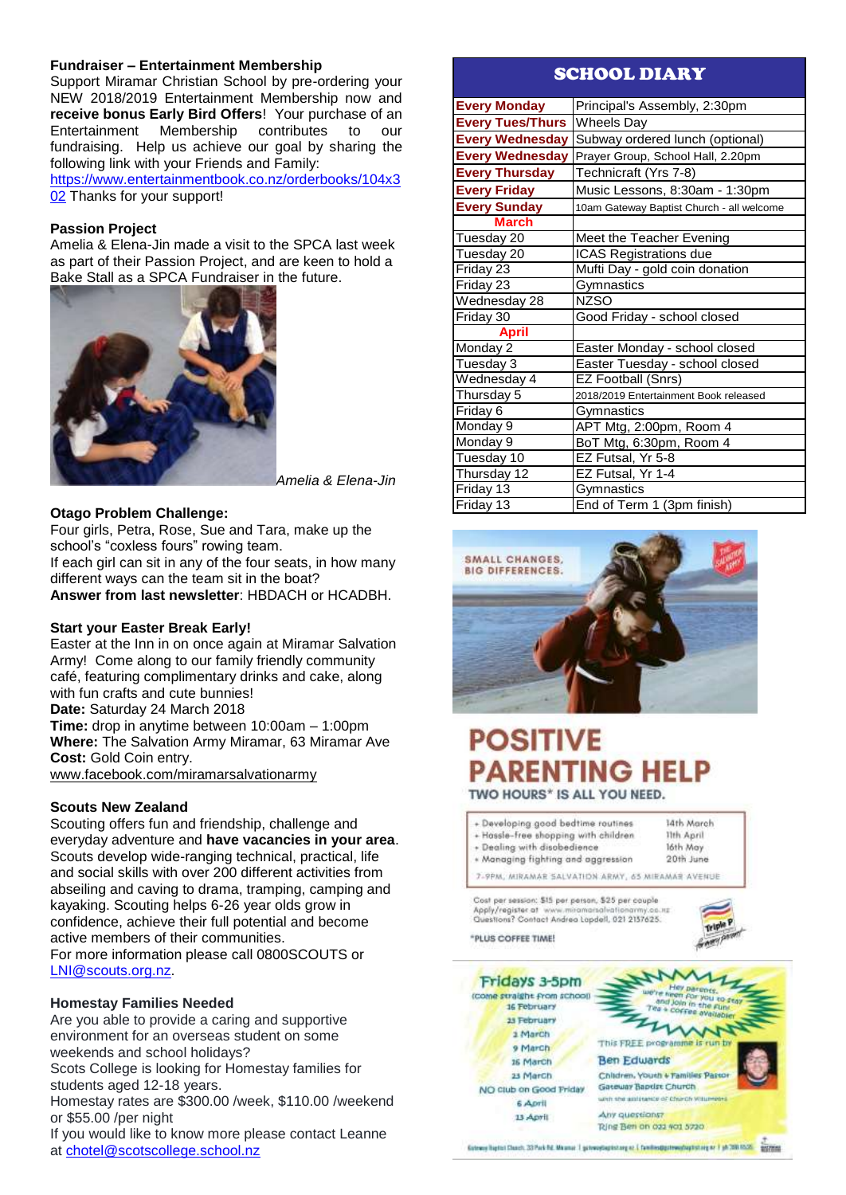#### **Fundraiser – Entertainment Membership**

Support Miramar Christian School by pre-ordering your NEW 2018/2019 Entertainment Membership now and **receive bonus Early Bird Offers**! Your purchase of an Entertainment Membership contributes to our fundraising. Help us achieve our goal by sharing the following link with your Friends and Family:

[https://www.entertainmentbook.co.nz/orderbooks/104x3](https://www.entertainmentbook.co.nz/orderbooks/104x302) [02](https://www.entertainmentbook.co.nz/orderbooks/104x302) Thanks for your support!

#### **Passion Project**

Amelia & Elena-Jin made a visit to the SPCA last week as part of their Passion Project, and are keen to hold a Bake Stall as a SPCA Fundraiser in the future.



*Amelia & Elena-Jin*

#### **Otago Problem Challenge:**

Four girls, Petra, Rose, Sue and Tara, make up the school's "coxless fours" rowing team. If each girl can sit in any of the four seats, in how many different ways can the team sit in the boat? **Answer from last newsletter**: HBDACH or HCADBH.

#### **Start your Easter Break Early!**

Easter at the Inn in on once again at Miramar Salvation Army! Come along to our family friendly community café, featuring complimentary drinks and cake, along with fun crafts and cute bunnies! **Date:** Saturday 24 March 2018 **Time:** drop in anytime between 10:00am – 1:00pm **Where:** The Salvation Army Miramar, 63 Miramar Ave **Cost:** Gold Coin entry.

www.facebook.com/miramarsalvationarmy

#### **Scouts New Zealand**

Scouting offers fun and friendship, challenge and everyday adventure and **have vacancies in your area**. Scouts develop wide-ranging technical, practical, life and social skills with over 200 different activities from abseiling and caving to drama, tramping, camping and kayaking. Scouting helps 6-26 year olds grow in confidence, achieve their full potential and become active members of their communities. For more information please call 0800SCOUTS or [LNI@scouts.org.nz.](mailto:LNI@scouts.org.nz)

#### **Homestay Families Needed**

Are you able to provide a caring and supportive environment for an overseas student on some weekends and school holidays?

Scots College is looking for Homestay families for students aged 12-18 years.

Homestay rates are \$300.00 /week, \$110.00 /weekend or \$55.00 /per night

If you would like to know more please contact Leanne at [chotel@scotscollege.school.nz](mailto:chotel@scotscollege.school.nz)

### SCHOOL DIARY

| <b>Every Monday</b>     | Principal's Assembly, 2:30pm              |
|-------------------------|-------------------------------------------|
| <b>Every Tues/Thurs</b> | <b>Wheels Day</b>                         |
| <b>Every Wednesday</b>  | Subway ordered lunch (optional)           |
| <b>Every Wednesday</b>  | Prayer Group, School Hall, 2.20pm         |
| <b>Every Thursday</b>   | Technicraft (Yrs 7-8)                     |
| <b>Every Friday</b>     | Music Lessons, 8:30am - 1:30pm            |
| <b>Every Sunday</b>     | 10am Gateway Baptist Church - all welcome |
| <b>March</b>            |                                           |
| Tuesday 20              | Meet the Teacher Evening                  |
| Tuesday 20              | ICAS Registrations due                    |
| Friday 23               | Mufti Day - gold coin donation            |
| Friday 23               | Gymnastics                                |
| Wednesday 28            | <b>NZSO</b>                               |
| Friday 30               | Good Friday - school closed               |
| <b>April</b>            |                                           |
| Monday 2                | Easter Monday - school closed             |
| Tuesday 3               | Easter Tuesday - school closed            |
| Wednesday 4             | EZ Football (Snrs)                        |
| Thursday 5              | 2018/2019 Entertainment Book released     |
| Friday 6                | Gymnastics                                |
| Monday 9                | APT Mtg, 2:00pm, Room 4                   |
| Monday 9                | BoT Mtg, 6:30pm, Room 4                   |
| Tuesday 10              | EZ Futsal, Yr 5-8                         |
| Thursday 12             | EZ Futsal, Yr 1-4                         |
| Friday 13               | Gymnastics                                |
| Friday 13               | End of Term 1 (3pm finish)                |



## **POSITIVE PARENTING HELP** TWO HOURS\* IS ALL YOU NEED.

| + Developing good bedtime routines<br>+ Hassle-free shopping with children                                                                                | 14th March<br>Ilth April |
|-----------------------------------------------------------------------------------------------------------------------------------------------------------|--------------------------|
| + Dealing with disobedience<br>* Managing fighting and aggression                                                                                         | 16th May<br>20th June    |
| 7-9PM, MIRAMAR SALVATION ARMY, 65 MIRAMAR AVENUE                                                                                                          |                          |
|                                                                                                                                                           |                          |
| Cost per session: \$15 per person, \$25 per couple<br>Apply/register at www.miramarsalvationarmy.co.nz<br>Questions? Contact Andrea Lapdell, 021 2157625. | Triple.                  |